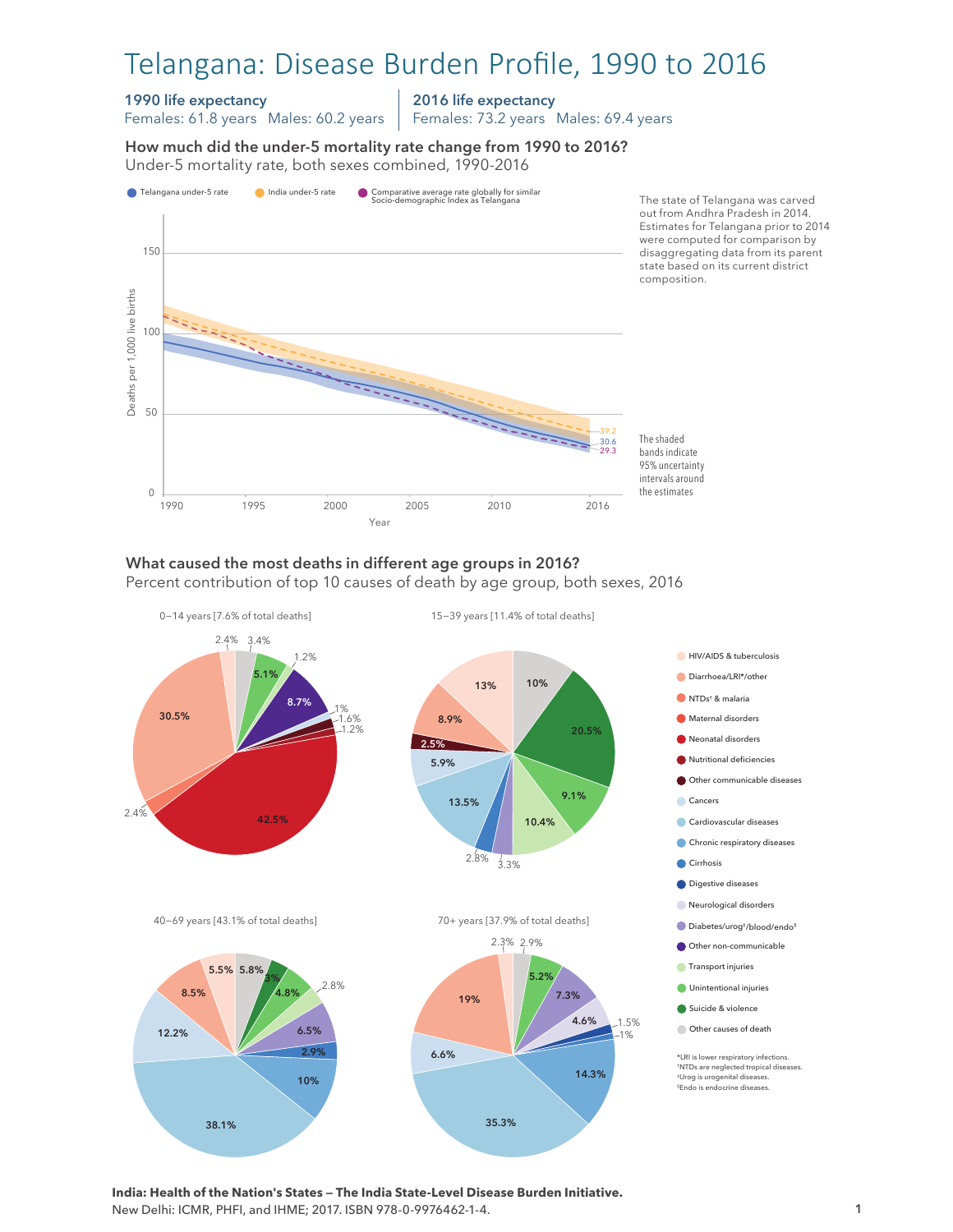# Telangana: Disease Burden Profile, 1990 to 2016

#### 1990 life expectancy

Females: 61.8 years Males: 60.2 years

2016 life expectancy Females: 73.2 years Males: 69.4 years

How much did the under-5 mortality rate change from 1990 to 2016? Under-5 mortality rate, both sexes combined, 1990-2016 Under-5 mortality rate, both sexes combined, 1990-2016 How much did the under-5 mortality rate change from 1990 to 2016?



## What caused the most deaths in different age groups in 2016?

Percent contribution of top 10 causes of death by age group, both sexes, 2016



**India: Health of the Nation's States — The India State-Level Disease Burden Initiative.**  New Delhi: ICMR, PHFI, and IHME; 2017. ISBN 978-0-9976462-1-4.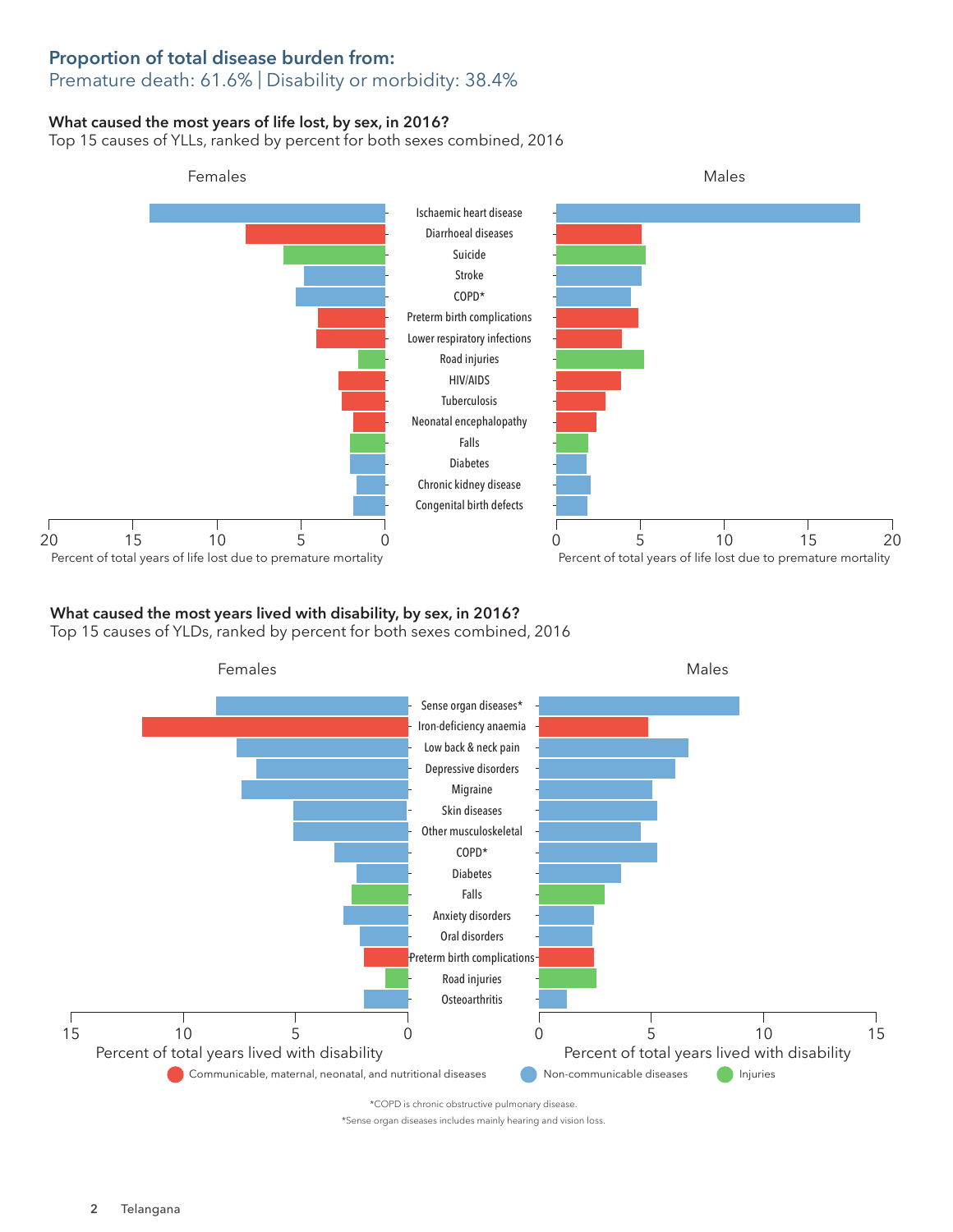## Proportion of total disease burden from:

## Premature death: 61.6% | Disability or morbidity: 38.4%

### What caused the most years of life lost, by sex, in 2016?

Top 15 causes of YLLs, ranked by percent for both sexes combined, 2016



## What caused the most years lived with disability, by sex, in 2016?

Top 15 causes of YLDs, ranked by percent for both sexes combined, 2016



\*Sense organ diseases includes mainly hearing and vision loss.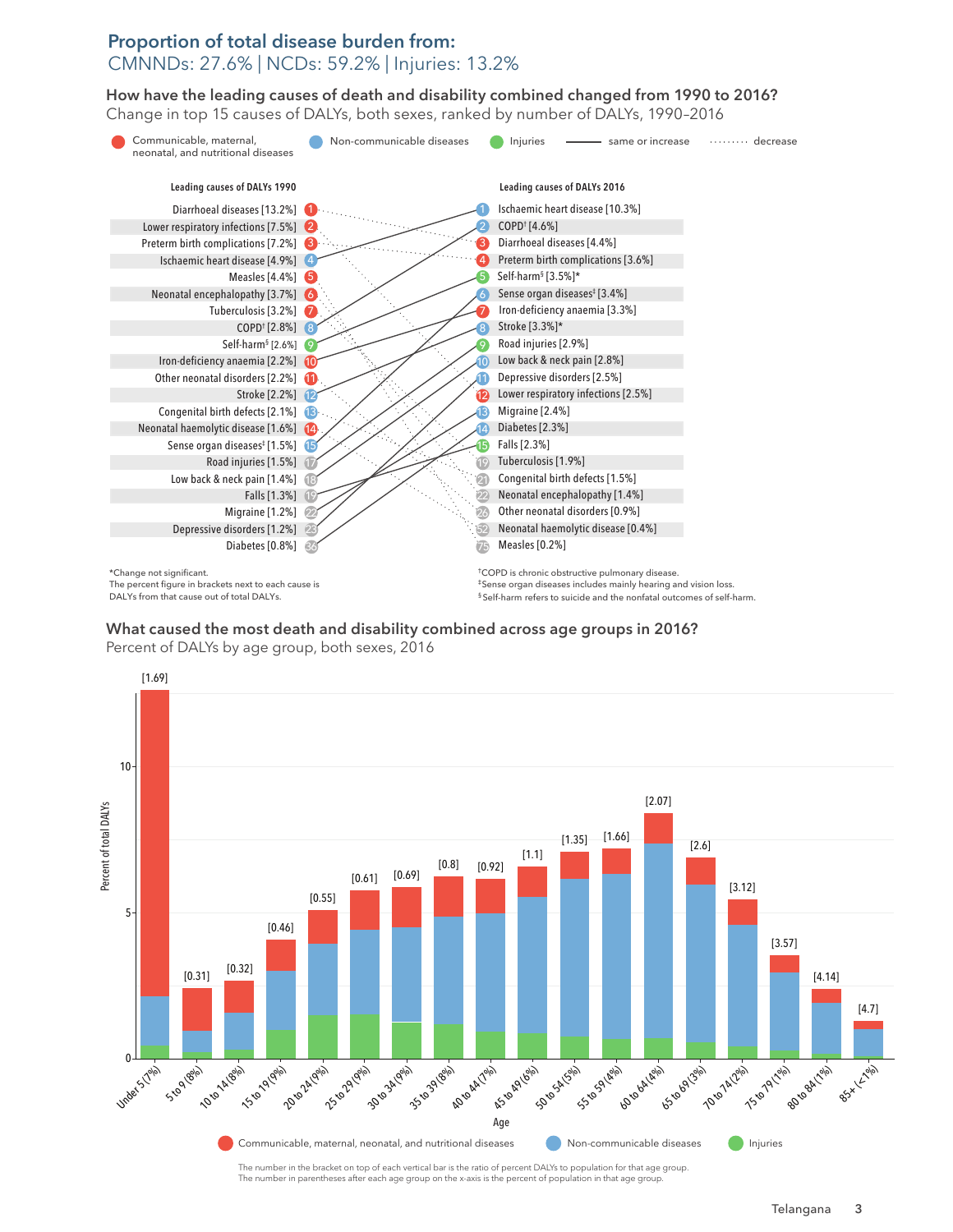### Proportion of total disease burden from: CMNNDs: 27.6% | NCDs: 59.2% | Injuries: 13.2%

How have the leading causes of death and disability combined changed from 1990 to 2016? How have the leading causes of death and disability combined changed from 1990 to 2016? Change in top 15 causes of DALYs, both sexes, ranked by number of DALYs, 1990–2016 Change in top 15 causes of DALYs, both sexes, ranked by number of DALYs, 1990–2016



What caused the most death and disability combined across age groups in 2016? Percent of DALYs by age group, both sexes, 2016



The number in parentheses after each age group on the x-axis is the percent of population in that age group.